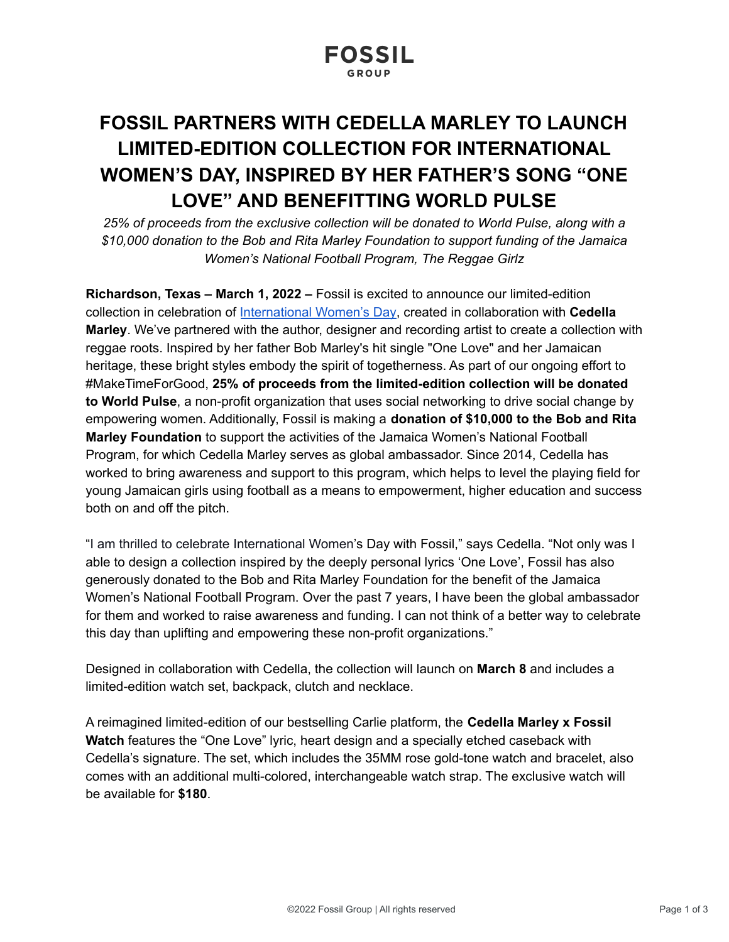# **FOSSIL PARTNERS WITH CEDELLA MARLEY TO LAUNCH LIMITED-EDITION COLLECTION FOR INTERNATIONAL WOMEN'S DAY, INSPIRED BY HER FATHER'S SONG "ONE LOVE" AND BENEFITTING WORLD PULSE**

*25% of proceeds from the exclusive collection will be donated to World Pulse, along with a \$10,000 donation to the Bob and Rita Marley Foundation to support funding of the Jamaica Women's National Football Program, The Reggae Girlz*

**Richardson, Texas – March 1, 2022 –** Fossil is excited to announce our limited-edition collection in celebration of [International](https://www.fossil.com/en-us/featured/the-edit/international-womens-day/?pr) Women's Day, created in collaboration with **Cedella Marley**. We've partnered with the author, designer and recording artist to create a collection with reggae roots. Inspired by her father Bob Marley's hit single "One Love" and her Jamaican heritage, these bright styles embody the spirit of togetherness. As part of our ongoing effort to #MakeTimeForGood, **25% of proceeds from the limited-edition collection will be donated to World Pulse**, a non-profit organization that uses social networking to drive social change by empowering women. Additionally, Fossil is making a **donation of \$10,000 to the Bob and Rita Marley Foundation** to support the activities of the Jamaica Women's National Football Program, for which Cedella Marley serves as global ambassador. Since 2014, Cedella has worked to bring awareness and support to this program, which helps to level the playing field for young Jamaican girls using football as a means to empowerment, higher education and success both on and off the pitch.

"I am thrilled to celebrate International Women's Day with Fossil," says Cedella. "Not only was I able to design a collection inspired by the deeply personal lyrics 'One Love', Fossil has also generously donated to the Bob and Rita Marley Foundation for the benefit of the Jamaica Women's National Football Program. Over the past 7 years, I have been the global ambassador for them and worked to raise awareness and funding. I can not think of a better way to celebrate this day than uplifting and empowering these non-profit organizations."

Designed in collaboration with Cedella, the collection will launch on **March 8** and includes a limited-edition watch set, backpack, clutch and necklace.

A reimagined limited-edition of our bestselling Carlie platform, the **Cedella Marley x Fossil Watch** features the "One Love" lyric, heart design and a specially etched caseback with Cedella's signature. The set, which includes the 35MM rose gold-tone watch and bracelet, also comes with an additional multi-colored, interchangeable watch strap. The exclusive watch will be available for **\$180**.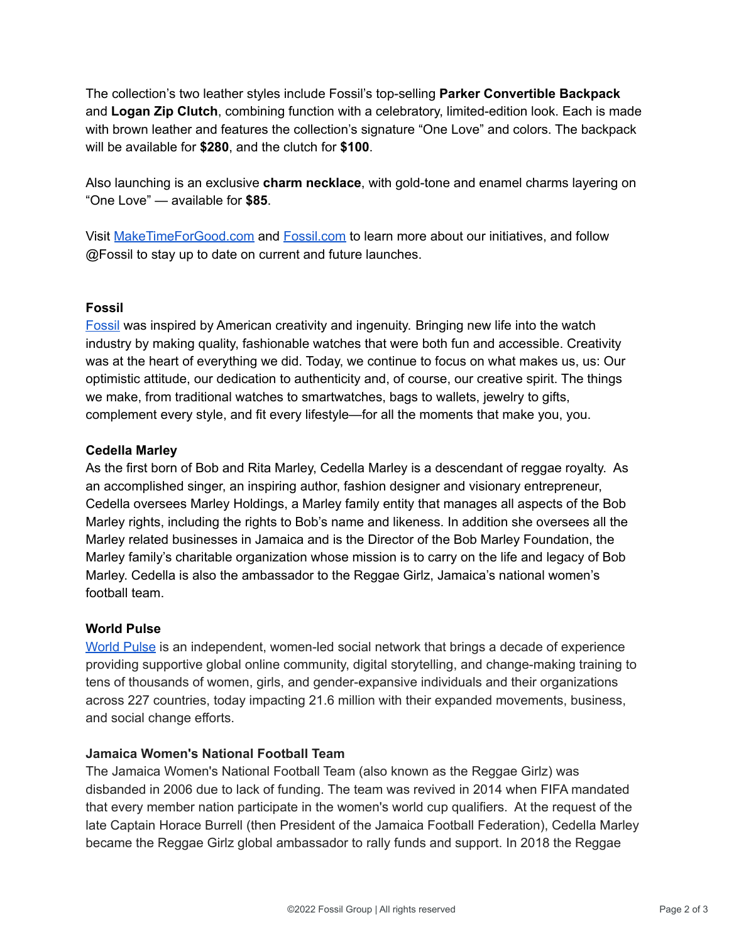The collection's two leather styles include Fossil's top-selling **Parker Convertible Backpack** and **Logan Zip Clutch**, combining function with a celebratory, limited-edition look. Each is made with brown leather and features the collection's signature "One Love" and colors. The backpack will be available for **\$280**, and the clutch for **\$100**.

Also launching is an exclusive **charm necklace**, with gold-tone and enamel charms layering on "One Love" — available for **\$85**.

Visit [MakeTimeForGood.com](http://maketimeforgood.com/?pr) and [Fossil.com](https://www.fossil.com/en-us/featured/the-edit/international-womens-day/?pr) to learn more about our initiatives, and follow @Fossil to stay up to date on current and future launches.

# **Fossil**

[Fossil](https://www.fossil.com/en-us/?pr) was inspired by American creativity and ingenuity. Bringing new life into the watch industry by making quality, fashionable watches that were both fun and accessible. Creativity was at the heart of everything we did. Today, we continue to focus on what makes us, us: Our optimistic attitude, our dedication to authenticity and, of course, our creative spirit. The things we make, from traditional watches to smartwatches, bags to wallets, jewelry to gifts, complement every style, and fit every lifestyle—for all the moments that make you, you.

# **Cedella Marley**

As the first born of Bob and Rita Marley, Cedella Marley is a descendant of reggae royalty. As an accomplished singer, an inspiring author, fashion designer and visionary entrepreneur, Cedella oversees Marley Holdings, a Marley family entity that manages all aspects of the Bob Marley rights, including the rights to Bob's name and likeness. In addition she oversees all the Marley related businesses in Jamaica and is the Director of the Bob Marley Foundation, the Marley family's charitable organization whose mission is to carry on the life and legacy of Bob Marley. Cedella is also the ambassador to the Reggae Girlz, Jamaica's national women's football team.

# **World Pulse**

[World](http://www.worldpulse.com) Pulse is an independent, women-led social network that brings a decade of experience providing supportive global online community, digital storytelling, and change-making training to tens of thousands of women, girls, and gender-expansive individuals and their organizations across 227 countries, today impacting 21.6 million with their expanded movements, business, and social change efforts.

# **Jamaica Women's National Football Team**

The Jamaica Women's National Football Team (also known as the Reggae Girlz) was disbanded in 2006 due to lack of funding. The team was revived in 2014 when FIFA mandated that every member nation participate in the women's world cup qualifiers. At the request of the late Captain Horace Burrell (then President of the Jamaica Football Federation), Cedella Marley became the Reggae Girlz global ambassador to rally funds and support. In 2018 the Reggae